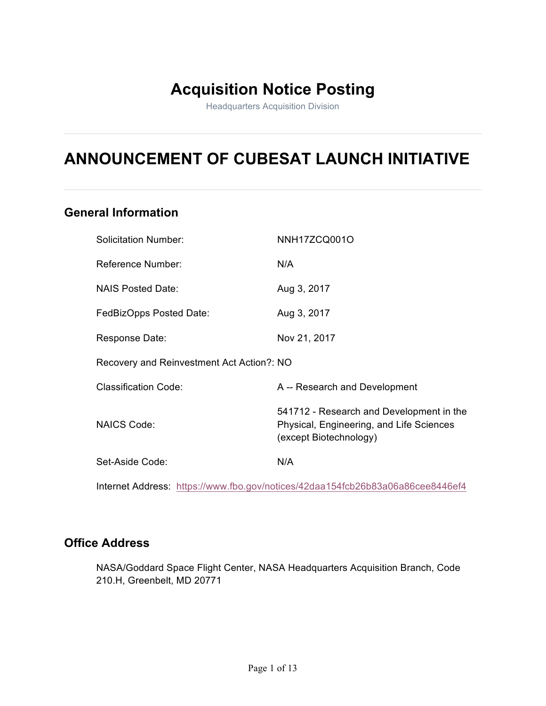# **Acquisition Notice Posting**

Headquarters Acquisition Division

# **ANNOUNCEMENT OF CUBESAT LAUNCH INITIATIVE**

# **General Information**

| <b>Solicitation Number:</b>               | NNH17ZCQ001O                                                                                                   |  |  |  |
|-------------------------------------------|----------------------------------------------------------------------------------------------------------------|--|--|--|
| Reference Number:                         | N/A                                                                                                            |  |  |  |
| <b>NAIS Posted Date:</b>                  | Aug 3, 2017                                                                                                    |  |  |  |
| FedBizOpps Posted Date:                   | Aug 3, 2017                                                                                                    |  |  |  |
| Response Date:                            | Nov 21, 2017                                                                                                   |  |  |  |
| Recovery and Reinvestment Act Action?: NO |                                                                                                                |  |  |  |
| <b>Classification Code:</b>               | A -- Research and Development                                                                                  |  |  |  |
| <b>NAICS Code:</b>                        | 541712 - Research and Development in the<br>Physical, Engineering, and Life Sciences<br>(except Biotechnology) |  |  |  |
| Set-Aside Code:                           | N/A                                                                                                            |  |  |  |

Internet Address: https://www.fbo.gov/notices/42daa154fcb26b83a06a86cee8446ef4

# **Office Address**

NASA/Goddard Space Flight Center, NASA Headquarters Acquisition Branch, Code 210.H, Greenbelt, MD 20771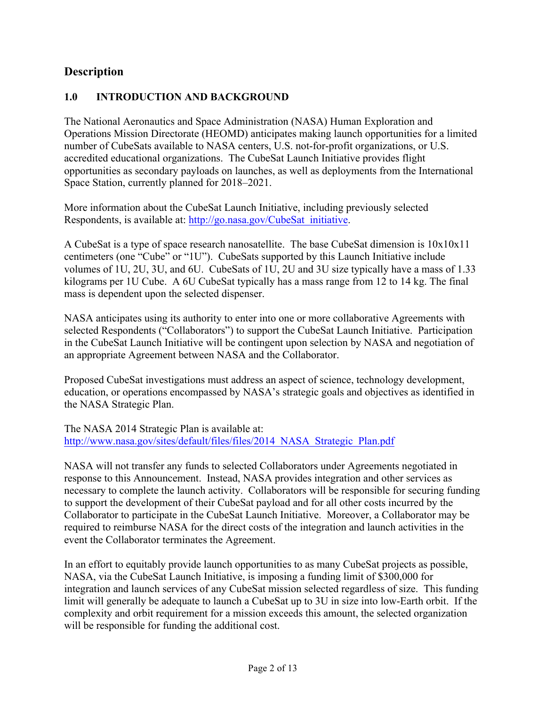# **Description**

## **1.0 INTRODUCTION AND BACKGROUND**

The National Aeronautics and Space Administration (NASA) Human Exploration and Operations Mission Directorate (HEOMD) anticipates making launch opportunities for a limited number of CubeSats available to NASA centers, U.S. not-for-profit organizations, or U.S. accredited educational organizations. The CubeSat Launch Initiative provides flight opportunities as secondary payloads on launches, as well as deployments from the International Space Station, currently planned for 2018–2021.

More information about the CubeSat Launch Initiative, including previously selected Respondents, is available at: http://go.nasa.gov/CubeSat\_initiative.

A CubeSat is a type of space research nanosatellite. The base CubeSat dimension is 10x10x11 centimeters (one "Cube" or "1U"). CubeSats supported by this Launch Initiative include volumes of 1U, 2U, 3U, and 6U. CubeSats of 1U, 2U and 3U size typically have a mass of 1.33 kilograms per 1U Cube. A 6U CubeSat typically has a mass range from 12 to 14 kg. The final mass is dependent upon the selected dispenser.

NASA anticipates using its authority to enter into one or more collaborative Agreements with selected Respondents ("Collaborators") to support the CubeSat Launch Initiative. Participation in the CubeSat Launch Initiative will be contingent upon selection by NASA and negotiation of an appropriate Agreement between NASA and the Collaborator.

Proposed CubeSat investigations must address an aspect of science, technology development, education, or operations encompassed by NASA's strategic goals and objectives as identified in the NASA Strategic Plan.

The NASA 2014 Strategic Plan is available at: http://www.nasa.gov/sites/default/files/files/2014\_NASA\_Strategic\_Plan.pdf

NASA will not transfer any funds to selected Collaborators under Agreements negotiated in response to this Announcement. Instead, NASA provides integration and other services as necessary to complete the launch activity. Collaborators will be responsible for securing funding to support the development of their CubeSat payload and for all other costs incurred by the Collaborator to participate in the CubeSat Launch Initiative. Moreover, a Collaborator may be required to reimburse NASA for the direct costs of the integration and launch activities in the event the Collaborator terminates the Agreement.

In an effort to equitably provide launch opportunities to as many CubeSat projects as possible, NASA, via the CubeSat Launch Initiative, is imposing a funding limit of \$300,000 for integration and launch services of any CubeSat mission selected regardless of size. This funding limit will generally be adequate to launch a CubeSat up to 3U in size into low-Earth orbit. If the complexity and orbit requirement for a mission exceeds this amount, the selected organization will be responsible for funding the additional cost.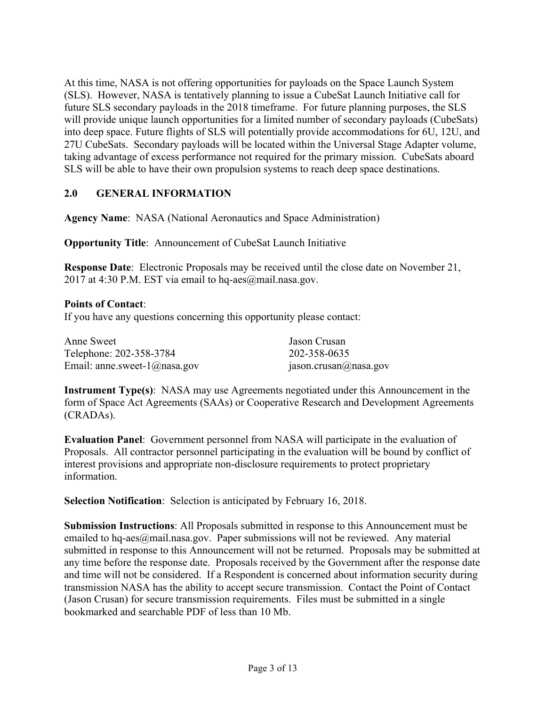At this time, NASA is not offering opportunities for payloads on the Space Launch System (SLS). However, NASA is tentatively planning to issue a CubeSat Launch Initiative call for future SLS secondary payloads in the 2018 timeframe. For future planning purposes, the SLS will provide unique launch opportunities for a limited number of secondary payloads (CubeSats) into deep space. Future flights of SLS will potentially provide accommodations for 6U, 12U, and 27U CubeSats. Secondary payloads will be located within the Universal Stage Adapter volume, taking advantage of excess performance not required for the primary mission. CubeSats aboard SLS will be able to have their own propulsion systems to reach deep space destinations.

## **2.0 GENERAL INFORMATION**

**Agency Name**: NASA (National Aeronautics and Space Administration)

**Opportunity Title**: Announcement of CubeSat Launch Initiative

**Response Date**: Electronic Proposals may be received until the close date on November 21, 2017 at 4:30 P.M. EST via email to hq-aes@mail.nasa.gov.

#### **Points of Contact**:

If you have any questions concerning this opportunity please contact:

| Anne Sweet                       | Jason Crusan          |
|----------------------------------|-----------------------|
| Telephone: 202-358-3784          | 202-358-0635          |
| Email: anne.sweet- $1$ @nasa.gov | jason.crusan@nasa.gov |

**Instrument Type(s)**: NASA may use Agreements negotiated under this Announcement in the form of Space Act Agreements (SAAs) or Cooperative Research and Development Agreements (CRADAs).

**Evaluation Panel**: Government personnel from NASA will participate in the evaluation of Proposals. All contractor personnel participating in the evaluation will be bound by conflict of interest provisions and appropriate non-disclosure requirements to protect proprietary information.

**Selection Notification**: Selection is anticipated by February 16, 2018.

**Submission Instructions**: All Proposals submitted in response to this Announcement must be emailed to hq-aes@mail.nasa.gov. Paper submissions will not be reviewed. Any material submitted in response to this Announcement will not be returned. Proposals may be submitted at any time before the response date. Proposals received by the Government after the response date and time will not be considered. If a Respondent is concerned about information security during transmission NASA has the ability to accept secure transmission. Contact the Point of Contact (Jason Crusan) for secure transmission requirements. Files must be submitted in a single bookmarked and searchable PDF of less than 10 Mb.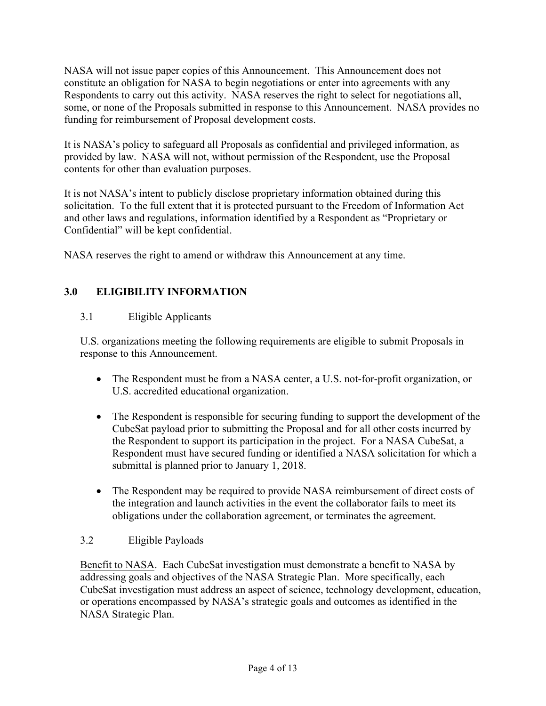NASA will not issue paper copies of this Announcement. This Announcement does not constitute an obligation for NASA to begin negotiations or enter into agreements with any Respondents to carry out this activity. NASA reserves the right to select for negotiations all, some, or none of the Proposals submitted in response to this Announcement. NASA provides no funding for reimbursement of Proposal development costs.

It is NASA's policy to safeguard all Proposals as confidential and privileged information, as provided by law. NASA will not, without permission of the Respondent, use the Proposal contents for other than evaluation purposes.

It is not NASA's intent to publicly disclose proprietary information obtained during this solicitation. To the full extent that it is protected pursuant to the Freedom of Information Act and other laws and regulations, information identified by a Respondent as "Proprietary or Confidential" will be kept confidential.

NASA reserves the right to amend or withdraw this Announcement at any time.

# **3.0 ELIGIBILITY INFORMATION**

## 3.1 Eligible Applicants

U.S. organizations meeting the following requirements are eligible to submit Proposals in response to this Announcement.

- The Respondent must be from a NASA center, a U.S. not-for-profit organization, or U.S. accredited educational organization.
- The Respondent is responsible for securing funding to support the development of the CubeSat payload prior to submitting the Proposal and for all other costs incurred by the Respondent to support its participation in the project. For a NASA CubeSat, a Respondent must have secured funding or identified a NASA solicitation for which a submittal is planned prior to January 1, 2018.
- The Respondent may be required to provide NASA reimbursement of direct costs of the integration and launch activities in the event the collaborator fails to meet its obligations under the collaboration agreement, or terminates the agreement.

#### 3.2 Eligible Payloads

Benefit to NASA. Each CubeSat investigation must demonstrate a benefit to NASA by addressing goals and objectives of the NASA Strategic Plan. More specifically, each CubeSat investigation must address an aspect of science, technology development, education, or operations encompassed by NASA's strategic goals and outcomes as identified in the NASA Strategic Plan.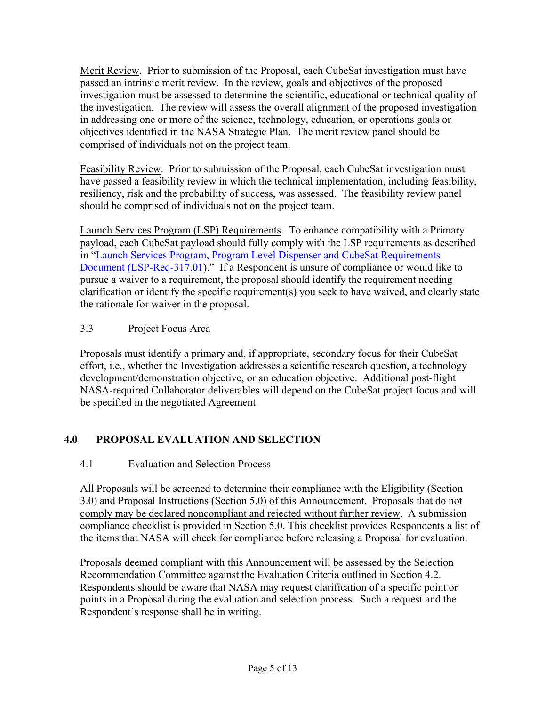Merit Review. Prior to submission of the Proposal, each CubeSat investigation must have passed an intrinsic merit review. In the review, goals and objectives of the proposed investigation must be assessed to determine the scientific, educational or technical quality of the investigation. The review will assess the overall alignment of the proposed investigation in addressing one or more of the science, technology, education, or operations goals or objectives identified in the NASA Strategic Plan. The merit review panel should be comprised of individuals not on the project team.

Feasibility Review. Prior to submission of the Proposal, each CubeSat investigation must have passed a feasibility review in which the technical implementation, including feasibility, resiliency, risk and the probability of success, was assessed. The feasibility review panel should be comprised of individuals not on the project team.

Launch Services Program (LSP) Requirements. To enhance compatibility with a Primary payload, each CubeSat payload should fully comply with the LSP requirements as described in "Launch Services Program, Program Level Dispenser and CubeSat Requirements Document (LSP-Req-317.01)." If a Respondent is unsure of compliance or would like to pursue a waiver to a requirement, the proposal should identify the requirement needing clarification or identify the specific requirement(s) you seek to have waived, and clearly state the rationale for waiver in the proposal.

# 3.3 Project Focus Area

Proposals must identify a primary and, if appropriate, secondary focus for their CubeSat effort, i.e., whether the Investigation addresses a scientific research question, a technology development/demonstration objective, or an education objective. Additional post-flight NASA-required Collaborator deliverables will depend on the CubeSat project focus and will be specified in the negotiated Agreement.

# **4.0 PROPOSAL EVALUATION AND SELECTION**

# 4.1 Evaluation and Selection Process

All Proposals will be screened to determine their compliance with the Eligibility (Section 3.0) and Proposal Instructions (Section 5.0) of this Announcement. Proposals that do not comply may be declared noncompliant and rejected without further review. A submission compliance checklist is provided in Section 5.0. This checklist provides Respondents a list of the items that NASA will check for compliance before releasing a Proposal for evaluation.

Proposals deemed compliant with this Announcement will be assessed by the Selection Recommendation Committee against the Evaluation Criteria outlined in Section 4.2. Respondents should be aware that NASA may request clarification of a specific point or points in a Proposal during the evaluation and selection process. Such a request and the Respondent's response shall be in writing.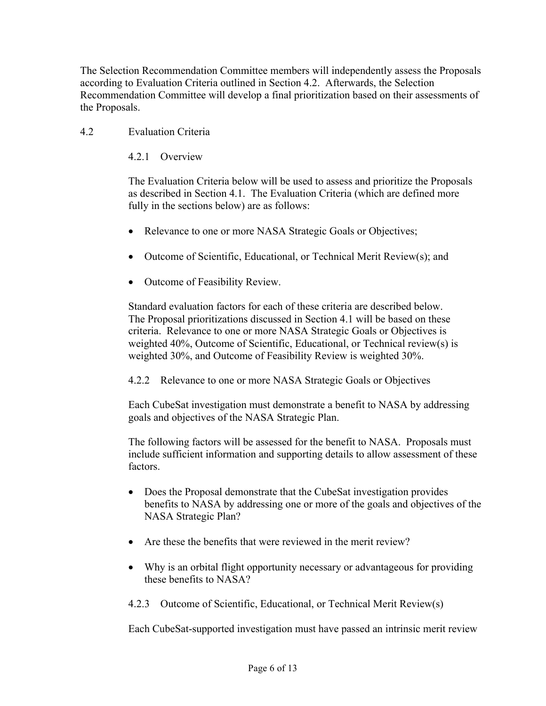The Selection Recommendation Committee members will independently assess the Proposals according to Evaluation Criteria outlined in Section 4.2. Afterwards, the Selection Recommendation Committee will develop a final prioritization based on their assessments of the Proposals.

4.2 Evaluation Criteria

4.2.1 Overview

The Evaluation Criteria below will be used to assess and prioritize the Proposals as described in Section 4.1. The Evaluation Criteria (which are defined more fully in the sections below) are as follows:

- Relevance to one or more NASA Strategic Goals or Objectives;
- Outcome of Scientific, Educational, or Technical Merit Review(s); and
- Outcome of Feasibility Review.

Standard evaluation factors for each of these criteria are described below. The Proposal prioritizations discussed in Section 4.1 will be based on these criteria. Relevance to one or more NASA Strategic Goals or Objectives is weighted 40%, Outcome of Scientific, Educational, or Technical review(s) is weighted 30%, and Outcome of Feasibility Review is weighted 30%.

4.2.2 Relevance to one or more NASA Strategic Goals or Objectives

Each CubeSat investigation must demonstrate a benefit to NASA by addressing goals and objectives of the NASA Strategic Plan.

The following factors will be assessed for the benefit to NASA. Proposals must include sufficient information and supporting details to allow assessment of these factors.

- Does the Proposal demonstrate that the CubeSat investigation provides benefits to NASA by addressing one or more of the goals and objectives of the NASA Strategic Plan?
- Are these the benefits that were reviewed in the merit review?
- Why is an orbital flight opportunity necessary or advantageous for providing these benefits to NASA?
- 4.2.3 Outcome of Scientific, Educational, or Technical Merit Review(s)

Each CubeSat-supported investigation must have passed an intrinsic merit review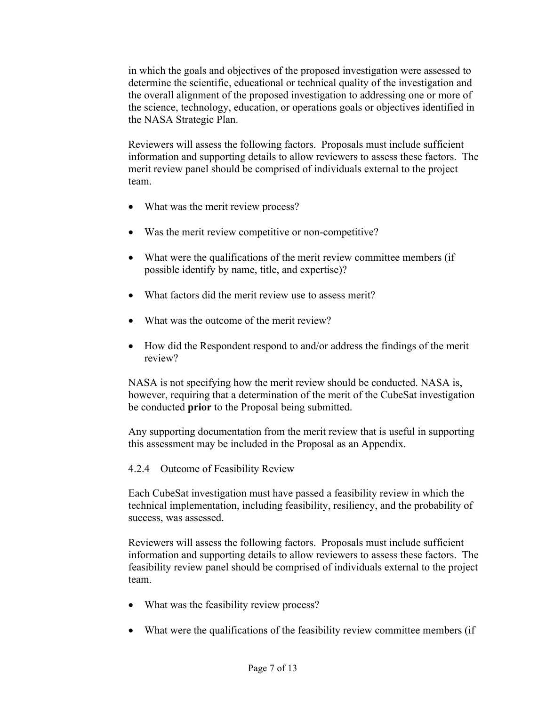in which the goals and objectives of the proposed investigation were assessed to determine the scientific, educational or technical quality of the investigation and the overall alignment of the proposed investigation to addressing one or more of the science, technology, education, or operations goals or objectives identified in the NASA Strategic Plan.

Reviewers will assess the following factors. Proposals must include sufficient information and supporting details to allow reviewers to assess these factors. The merit review panel should be comprised of individuals external to the project team.

- What was the merit review process?
- Was the merit review competitive or non-competitive?
- What were the qualifications of the merit review committee members (if possible identify by name, title, and expertise)?
- What factors did the merit review use to assess merit?
- What was the outcome of the merit review?
- How did the Respondent respond to and/or address the findings of the merit review?

NASA is not specifying how the merit review should be conducted. NASA is, however, requiring that a determination of the merit of the CubeSat investigation be conducted **prior** to the Proposal being submitted.

Any supporting documentation from the merit review that is useful in supporting this assessment may be included in the Proposal as an Appendix.

#### 4.2.4 Outcome of Feasibility Review

Each CubeSat investigation must have passed a feasibility review in which the technical implementation, including feasibility, resiliency, and the probability of success, was assessed.

Reviewers will assess the following factors. Proposals must include sufficient information and supporting details to allow reviewers to assess these factors. The feasibility review panel should be comprised of individuals external to the project team.

- What was the feasibility review process?
- What were the qualifications of the feasibility review committee members (if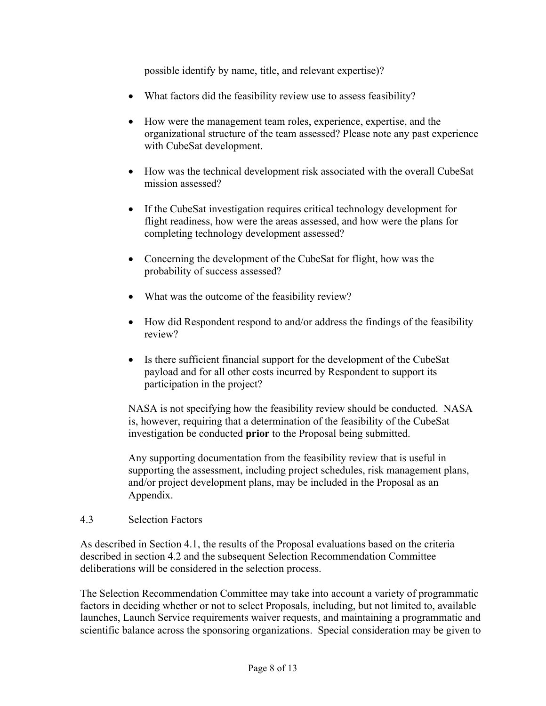possible identify by name, title, and relevant expertise)?

- What factors did the feasibility review use to assess feasibility?
- How were the management team roles, experience, expertise, and the organizational structure of the team assessed? Please note any past experience with CubeSat development.
- How was the technical development risk associated with the overall CubeSat mission assessed?
- If the CubeSat investigation requires critical technology development for flight readiness, how were the areas assessed, and how were the plans for completing technology development assessed?
- Concerning the development of the CubeSat for flight, how was the probability of success assessed?
- What was the outcome of the feasibility review?
- How did Respondent respond to and/or address the findings of the feasibility review?
- Is there sufficient financial support for the development of the CubeSat payload and for all other costs incurred by Respondent to support its participation in the project?

NASA is not specifying how the feasibility review should be conducted. NASA is, however, requiring that a determination of the feasibility of the CubeSat investigation be conducted **prior** to the Proposal being submitted.

Any supporting documentation from the feasibility review that is useful in supporting the assessment, including project schedules, risk management plans, and/or project development plans, may be included in the Proposal as an Appendix.

#### 4.3 Selection Factors

As described in Section 4.1, the results of the Proposal evaluations based on the criteria described in section 4.2 and the subsequent Selection Recommendation Committee deliberations will be considered in the selection process.

The Selection Recommendation Committee may take into account a variety of programmatic factors in deciding whether or not to select Proposals, including, but not limited to, available launches, Launch Service requirements waiver requests, and maintaining a programmatic and scientific balance across the sponsoring organizations. Special consideration may be given to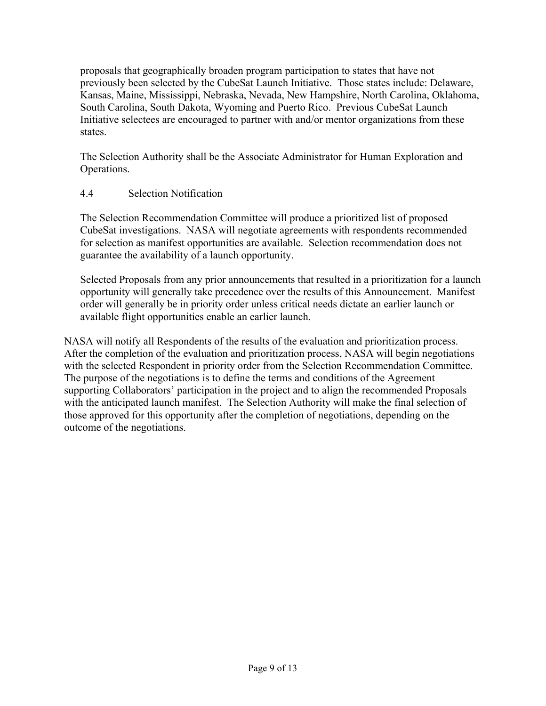proposals that geographically broaden program participation to states that have not previously been selected by the CubeSat Launch Initiative. Those states include: Delaware, Kansas, Maine, Mississippi, Nebraska, Nevada, New Hampshire, North Carolina, Oklahoma, South Carolina, South Dakota, Wyoming and Puerto Rico. Previous CubeSat Launch Initiative selectees are encouraged to partner with and/or mentor organizations from these states.

The Selection Authority shall be the Associate Administrator for Human Exploration and Operations.

## 4.4 Selection Notification

The Selection Recommendation Committee will produce a prioritized list of proposed CubeSat investigations. NASA will negotiate agreements with respondents recommended for selection as manifest opportunities are available. Selection recommendation does not guarantee the availability of a launch opportunity.

Selected Proposals from any prior announcements that resulted in a prioritization for a launch opportunity will generally take precedence over the results of this Announcement. Manifest order will generally be in priority order unless critical needs dictate an earlier launch or available flight opportunities enable an earlier launch.

NASA will notify all Respondents of the results of the evaluation and prioritization process. After the completion of the evaluation and prioritization process, NASA will begin negotiations with the selected Respondent in priority order from the Selection Recommendation Committee. The purpose of the negotiations is to define the terms and conditions of the Agreement supporting Collaborators' participation in the project and to align the recommended Proposals with the anticipated launch manifest. The Selection Authority will make the final selection of those approved for this opportunity after the completion of negotiations, depending on the outcome of the negotiations.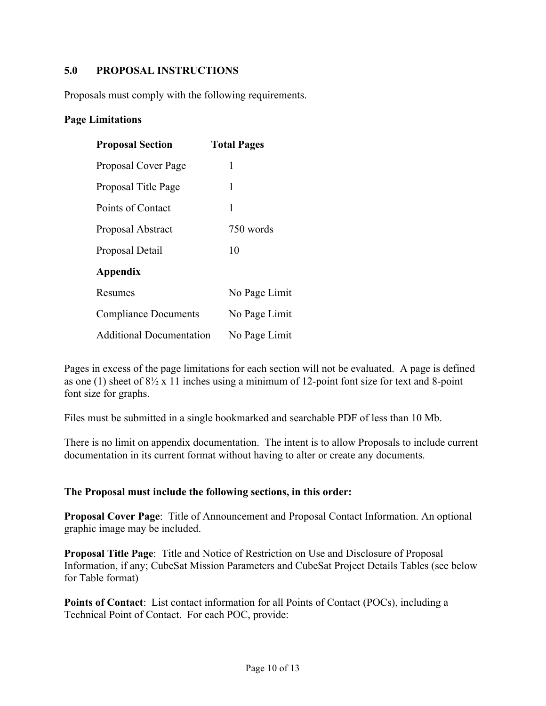## **5.0 PROPOSAL INSTRUCTIONS**

Proposals must comply with the following requirements.

#### **Page Limitations**

| <b>Proposal Section</b>         | <b>Total Pages</b> |
|---------------------------------|--------------------|
| Proposal Cover Page             | 1                  |
| Proposal Title Page             | 1                  |
| Points of Contact               | 1                  |
| Proposal Abstract               | 750 words          |
| Proposal Detail                 | 10                 |
| Appendix                        |                    |
| Resumes                         | No Page Limit      |
| <b>Compliance Documents</b>     | No Page Limit      |
| <b>Additional Documentation</b> | No Page Limit      |

Pages in excess of the page limitations for each section will not be evaluated. A page is defined as one (1) sheet of 8½ x 11 inches using a minimum of 12-point font size for text and 8-point font size for graphs.

Files must be submitted in a single bookmarked and searchable PDF of less than 10 Mb.

There is no limit on appendix documentation. The intent is to allow Proposals to include current documentation in its current format without having to alter or create any documents.

#### **The Proposal must include the following sections, in this order:**

**Proposal Cover Page**: Title of Announcement and Proposal Contact Information. An optional graphic image may be included.

**Proposal Title Page**: Title and Notice of Restriction on Use and Disclosure of Proposal Information, if any; CubeSat Mission Parameters and CubeSat Project Details Tables (see below for Table format)

**Points of Contact**: List contact information for all Points of Contact (POCs), including a Technical Point of Contact. For each POC, provide: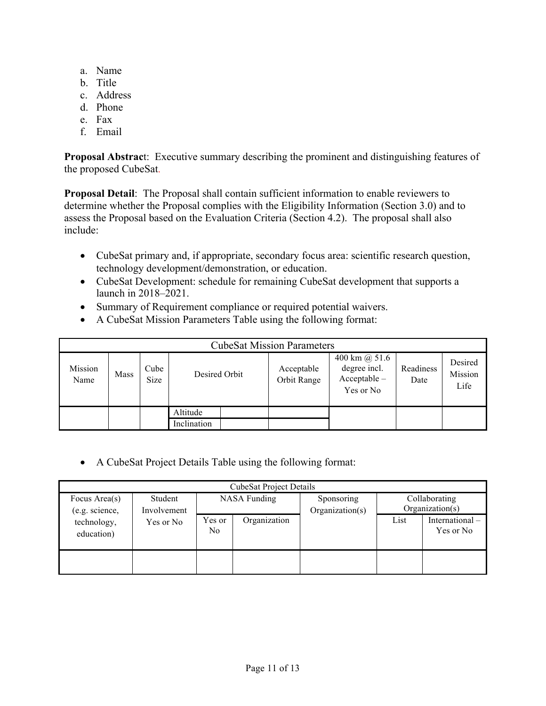- a. Name
- b. Title
- c. Address
- d. Phone
- e. Fax
- f. Email

**Proposal Abstrac**t: Executive summary describing the prominent and distinguishing features of the proposed CubeSat.

**Proposal Detail**: The Proposal shall contain sufficient information to enable reviewers to determine whether the Proposal complies with the Eligibility Information (Section 3.0) and to assess the Proposal based on the Evaluation Criteria (Section 4.2). The proposal shall also include:

- CubeSat primary and, if appropriate, secondary focus area: scientific research question, technology development/demonstration, or education.
- CubeSat Development: schedule for remaining CubeSat development that supports a launch in 2018–2021.
- Summary of Requirement compliance or required potential waivers.
- A CubeSat Mission Parameters Table using the following format:

| <b>CubeSat Mission Parameters</b> |      |              |               |  |                           |                                                                     |                   |                            |
|-----------------------------------|------|--------------|---------------|--|---------------------------|---------------------------------------------------------------------|-------------------|----------------------------|
| Mission<br>Name                   | Mass | Cube<br>Size | Desired Orbit |  | Acceptable<br>Orbit Range | 400 km $\omega$ 51.6<br>degree incl.<br>$Acceptable -$<br>Yes or No | Readiness<br>Date | Desired<br>Mission<br>Life |
|                                   |      |              | Altitude      |  |                           |                                                                     |                   |                            |
|                                   |      |              | Inclination   |  |                           |                                                                     |                   |                            |

• A CubeSat Project Details Table using the following format:

| <b>CubeSat Project Details</b>                            |           |                     |              |                               |                                  |                             |
|-----------------------------------------------------------|-----------|---------------------|--------------|-------------------------------|----------------------------------|-----------------------------|
| Student<br>Focus Area(s)<br>(e.g. science,<br>Involvement |           | <b>NASA Funding</b> |              | Sponsoring<br>Organization(s) | Collaborating<br>Organization(s) |                             |
| technology,<br>education)                                 | Yes or No | Yes or<br>No.       | Organization |                               | List                             | International-<br>Yes or No |
|                                                           |           |                     |              |                               |                                  |                             |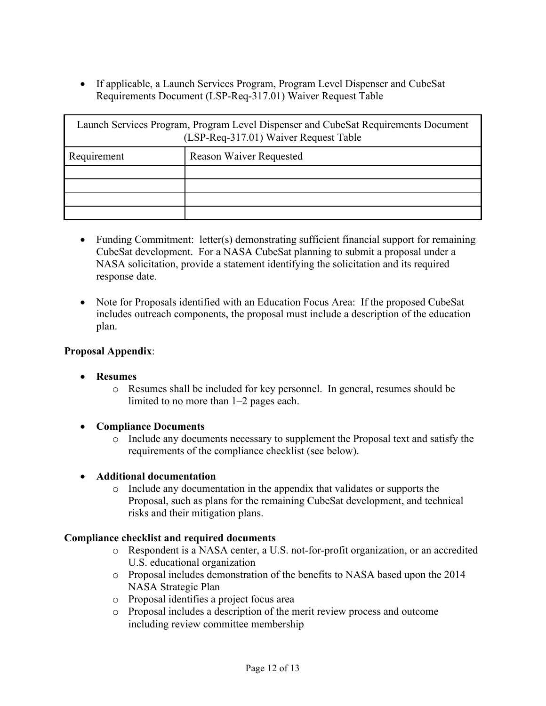• If applicable, a Launch Services Program, Program Level Dispenser and CubeSat Requirements Document (LSP-Req-317.01) Waiver Request Table

| Launch Services Program, Program Level Dispenser and CubeSat Requirements Document<br>(LSP-Req-317.01) Waiver Request Table |                                |  |  |  |
|-----------------------------------------------------------------------------------------------------------------------------|--------------------------------|--|--|--|
| Requirement                                                                                                                 | <b>Reason Waiver Requested</b> |  |  |  |
|                                                                                                                             |                                |  |  |  |
|                                                                                                                             |                                |  |  |  |
|                                                                                                                             |                                |  |  |  |
|                                                                                                                             |                                |  |  |  |

- Funding Commitment: letter(s) demonstrating sufficient financial support for remaining CubeSat development. For a NASA CubeSat planning to submit a proposal under a NASA solicitation, provide a statement identifying the solicitation and its required response date.
- Note for Proposals identified with an Education Focus Area: If the proposed CubeSat includes outreach components, the proposal must include a description of the education plan.

#### **Proposal Appendix**:

- **Resumes**
	- o Resumes shall be included for key personnel. In general, resumes should be limited to no more than 1–2 pages each.
- **Compliance Documents**
	- o Include any documents necessary to supplement the Proposal text and satisfy the requirements of the compliance checklist (see below).
- **Additional documentation**
	- o Include any documentation in the appendix that validates or supports the Proposal, such as plans for the remaining CubeSat development, and technical risks and their mitigation plans.

#### **Compliance checklist and required documents**

- o Respondent is a NASA center, a U.S. not-for-profit organization, or an accredited U.S. educational organization
- o Proposal includes demonstration of the benefits to NASA based upon the 2014 NASA Strategic Plan
- o Proposal identifies a project focus area
- o Proposal includes a description of the merit review process and outcome including review committee membership